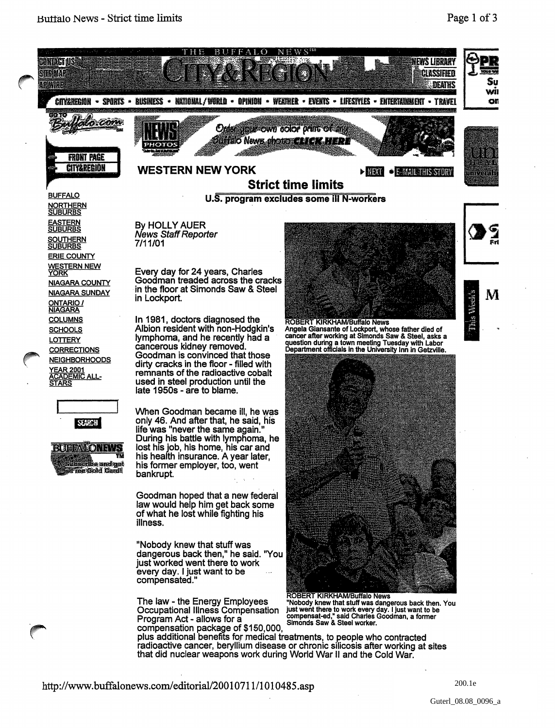

## http://www.buffalonews.com/editorial/20010711/1010485.asp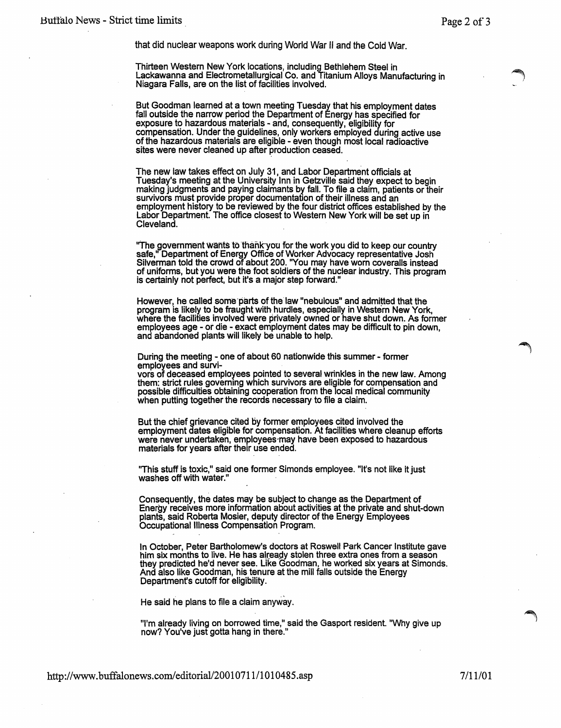that did nuclear weapons work during World War II and the Cold War.

Thirteen Western New York locations, including Bethlehem Steel in Lackawanna and Electrometallurgical Co. and Titanium Alloys Manufacturing in Niagara Falls, are on the list of facilities involved.

But Goodman learned at a town meeting Tuesday that his employment dates fall outside the narrow period the Department of Energy has specified for exposure to hazardous materials - and, consequently, eligibility for compensation. Under the guidelines, only workers employed during active use of the hazardous materials are eligible - even though most local radioactive sites were never cleaned up after production ceased.

The new law takes effect on July 31, and Labor Department officials at Tuesday's meeting at the University Inn in Getzville said they expect to begin Tuesday's meeting at the University Inn in Getzville said they expect to begin<br>making judgments and paying claimants by fall. To file a claim, patients or their survivors must provide-proper documentation of their illness and an employment history to be reviewed by the four district offices established by the Labor Department. The office closest to Western New York will be set up in Cleveland.

"The government wants to thank you for the work you did to keep our country<br>safe," Department of Energy Office of Worker Advocacy representative Josh Silverman told the crowd of about 200. ''You may have worn coveralls instead of uniforms, but you were the foot soldiers of the nuclear industry. This program is certainly not perfect, but it's a major step forward."

However, he called some parts of the law "nebulous" and admitted that the program is likely to be fraught with hurdles, especially in Western New York, where the facilities involved were privately owned or have shut down. As former employees age - ot die - exact employment dates may be difficult to pin down, and abandoned plants will likely be unable to help.

During the meeting - one of about 60 nationwide this summer - former

employees and survi-<br>vors of deceased employees pointed to several wrinkles in the new law. Among<br>them: strict rules governing which survivors are eligible for compensation and possible difficulties obtaining cooperation from the local medical community<br>when putting together the records necessary to file a claim.

But the chief grievance cited by former employees cited involved the employment dates eligible for compensation. At facilities where cleanup efforts were never undertaken, employees-may have been exposed to hazardous materials for years after their use ended.

"This stuff is toxic," said one former Simonds employee. "It's not like it just<br>washes off with water."

Consequently, the dates may be subject to change as the Department of Energy receives more information about activities at the private and shut-down plants, said Roberta Mosier, deputy director of the Energy Employees Occupational Illness Compensation Program.

In October, Peter Bartholomew's doctors at Roswell Park Cancer Institute gave him six months to live. He has alreagy stolen three extra ones from a season they predicted he'd never see. Like Goodman. he worked six years at Simonds. And also like Goodman, his tenure at the mill falls outside the Energy<br>Department's cutoff for eligibility.

He said he plans to file a claim anyway.

"I'm already living on borrowed time," said the Gasport resident. "Why give up now? You've just gotta hang in there."